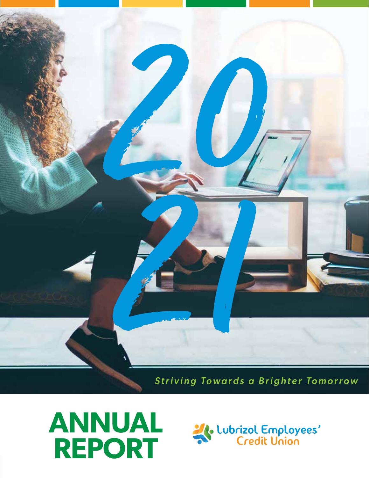

*Striving Towards a Brighter Tomorrow*



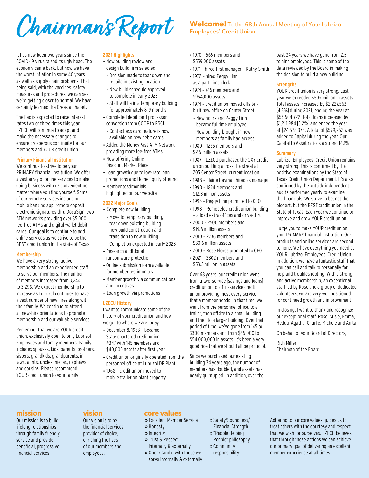Chairman's Report Welcome! To the 68th Annual Meeting of Your Lubrizol

### It has now been two years since the COVID-19 virus raised its ugly head. The economy came back, but now we have the worst inflation in some 40 years as well as supply chain problems. That being said, with the vaccines, safety measures and procedures, we can see we're getting closer to normal. We have certainly learned the Greek alphabet.

The Fed is expected to raise interest rates two or three times this year. LZECU will continue to adapt and make the necessary changes to ensure prosperous continuity for our members and YOUR credit union.

# **Primary Financial Institution**

We continue to strive to be your PRIMARY financial institution. We offer a vast array of online services to make doing business with us convenient no matter where you find yourself. Some of our remote services include our mobile banking app, remote deposit, electronic signatures thru DocuSign, two ATM networks providing over 85,000 fee-free ATMs and digital wallet debit cards. Our goal is to continue to add online services as we strive to be the BEST credit union in the state of Texas.

#### **Membership**

We have a very strong, active membership and an experienced staff to serve our members. The number of members increased from 3,244 to 3,298. We expect membership to increase as Lubrizol continues to have a vast number of new hires along with their family. We continue to attend all new-hire orientations to promote membership and our valuable services.

Remember that we are YOUR credit union, exclusively open to only Lubrizol Employees and family members. Family includes spouses, kids, parents, brothers, sisters, grandkids, grandparents, inlaws, aunts, uncles, nieces, nephews and cousins. Please recommend YOUR credit union to your family!

### **2021 Highlights**

- New building review and design build firm selected
- Decision made to tear down and rebuild in existing location - New build schedule approved to complete in early 2023
- Staff will be in a temporary building for approximately 8-9 months
- Completed debit card processor conversion from COOP to PSCU
- Contactless card feature is now available on new debit cards
- Added the MoneyPass ATM Network providing more fee-free ATMs
- Now offering Online Discount Market Place
- Loan growth due to low-rate loan promotions and Home Equity offering
- Member testimonials highlighted on our website
- 

# **2022 Major Goals**

- Complete new building - Move to temporary building, tear down existing building, new build construction and transition to new building - Completion expected in early 2023
- Research additional
- ransomware protection • Online submission form available
- for member testimonials • Member growth via communications
- and incentives
- Loan growth via promotions

### **LZECU History**

I want to communicate some of the history of your credit union and how we got to where we are today.

- December 8, 1953 became State chartered credit union #347 with 145 members and \$40,000 assets after first year
- Credit union originally operated from the personnel office at Lubrizol DP Plant
- 1968 credit union moved to mobile trailer on plant property
- Employees' Credit Union.
- 1970 565 members and \$559,000 assets
- 1971 hired first manager Kathy Smith
- 1972 hired Peggy Linn as a part-time clerk
- 1974 745 members and \$954,000 assets
- 1974 credit union moved offsite built new office on Center Street
- New hours and Peggy Linn became fulltime employee
- New building brought in new members as family had access
- 1980 1265 members and \$2.5 million assets
- 1987 LZECU purchased the OXY credit union building across the street at 205 Center Street (current location)
- 1988 Elaine Hayman hired as manager
- 1990 1824 members and \$12.3 million assets
- 1995 Peggy Linn promoted to CEO
- 1998 Remodeled credit union building – added extra offices and drive-thru
- 2000 2500 members and \$19.8 million assets
- 2010 2736 members and \$30.6 million assets
- 2010 Rose Flores promoted to CEO
- 2021 3302 members and \$53.5 million in assets

Over 68 years, our credit union went from a two-service (savings and loans) credit union to a full-service credit union providing most every service that a member needs. In that time, we went from the personnel office, to a trailer, then offsite to a small building and then to a larger building. Over that period of time, we've gone from 145 to 3300 members and from \$45,000 to \$54,000,000 in assets. It's been a very good ride that we should all be proud of.

Since we purchased our existing building 34 years ago, the number of members has doubled, and assets has nearly quintupled. In addition, over the

past 34 years we have gone from 2.5 to nine employees. This is some of the data reviewed by the Board in making the decision to build a new building.

### **Strengths**

YOUR credit union is very strong. Last year we exceeded \$50+ million in assets. Total assets increased by \$2,227,562 (4.3%) during 2021, ending the year at \$53,504,722. Total loans increased by \$1,211,984 (5.2%) and ended the year at \$24,578,378. A total of \$599,252 was added to Capital during the year. Our Capital to Asset ratio is a strong 14.1%.

### **Summary**

Lubrizol Employees' Credit Union remains very strong. This is confirmed by the positive examinations by the State of Texas Credit Union Department. It's also confirmed by the outside independent audits performed yearly to examine the financials. We strive to be, not the biggest, but the BEST credit union in the State of Texas. Each year we continue to improve and grow YOUR credit union.

I urge you to make YOUR credit union your PRIMARY financial institution. Our products and online services are second to none. We have everything you need at YOUR Lubrizol Employees' Credit Union. In addition, we have a fantastic staff that you can call and talk to personally for help and troubleshooting. With a strong and active membership, an exceptional staff led by Rose and a group of dedicated volunteers, we are very well positioned for continued growth and improvement.

In closing, I want to thank and recognize our exceptional staff: Rose, Susie, Emma, Hedda, Agatha, Charlie, Michele and Anita.

On behalf of your Board of Directors,

Rich Miller Chairman of the Board

# **mission**

Our mission is to build lifelong relationships through family friendly service and provide beneficial, progressive financial services.

# **vision**

Our vision is to be the financial services provider of choice, enriching the lives of our members and employees.

# **core values**

- » Excellent Member Service
- » Honesty
- » Integrity
- » Trust & Respect
- internally & externally » Open/Candid with those we serve internally & externally
- » Safety/Soundness/ Financial Strength » "People Helping People" philosophy
- » Community responsibility

Adhering to our core values guides us to treat others with the courtesy and respect that we wish for ourselves. LZECU believes that through these actions we can achieve our primary goal of delivering an excellent member experience at all times.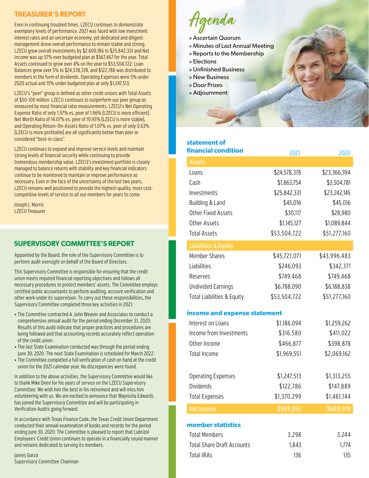# **TREASURER'S REPORT**

Even in continuing troubled times, LZECU continues to demonstrate exemplary levels of performance. 2021 was faced with low investment interest rates and an uncertain economy, yet dedicated and diligent management drove overall performance to remain stable and strong. LZECU grew overall investments by \$2,600,186 to \$25,842,331 and Net Income was up 57% over budgeted plan at \$567,467 for the year. Total Assets continued to grow over 4% on the year to \$53,504,722. Loan Balances grew over 5% to \$24,578,378, and \$122,786 was distributed to members in the form of dividends. Operating Expenses were 5% under 2020 actual and 15% under budgeted plan at only \$1,247,513.

LZECU's "peer" group is defined as other credit unions with Total Assets of \$50-100 million. LZECU continues to outperform our peer group as measured by most financial ratio measurements. LZECU's Net Operating Expense Ratio of only 1.57% vs. peer of 1.96% (LZECU is more efficient), Net Worth Ratio of 14.07% vs. peer of 10.93% (LZECU is more stable), and Operating Return-On-Assets Ratio of 1.07% vs. peer of only 0.63% (LZECU is more profitable) are all significantly better than peer or considered "best-in-class".

LZECU continues to expand and improve service levels and maintain strong levels of financial security while continuing to provide tremendous membership value. LZECU's investment portfolio is closely managed to balance returns with stability and key financial indicators continue to be monitored to maintain or improve performance as necessary. Even in the face of the uncertainty of the last two years, LZECU remains well positioned to provide the highest-quality, most costcompetitive levels of service to all our members for years to come.

Joseph J. Morris LZECU Treasurer

# **SUPERVISORY COMMITTEE'S REPORT**

Appointed by the Board, the role of the Supervisory Committee is to perform audit oversight on behalf of the Board of Directors.

This Supervisory Committee is responsible for ensuring that the credit union meets required financial reporting objectives and follows all necessary procedures to protect members' assets. The Committee employs certified public accountants to perform auditing, account verification and other work under its supervision. To carry out these responsibilities, the Supervisory Committee completed three key activities in 2021:

- The Committee contracted A. John Weaver and Associates to conduct a comprehensive annual audit for the period ending December 31, 2020. Results of this audit indicate that proper practices and procedures are being followed and that accounting records accurately reflect operation of the credit union.
- The last State Examination conducted was through the period ending June 30, 2020. The next State Examination is scheduled for March 2022.
- The Committee completed a full verification of cash on hand at the credit union for the 2021 calendar year. No discrepancies were found.

In addition to the above activities, the Supervisory Committee would like to thank Mike Deen for his years of service on the LZECU Supervisory Committee. We wish him the best in his retirement and will miss him volunteering with us. We are excited to announce that Waynisha Edwards has joined the Supervisory Committee and will be participating in Verification Audits going forward.

In accordance with Texas Finance Code, the Texas Credit Union Department conducted their annual examination of books and records for the period ending June 30, 2020. The Committee is pleased to report that Lubrizol Employees' Credit Union continues to operate in a financially sound manner and remains dedicated to serving its members.

James Garza Supervisory Committee Chairman



- » Ascertain Quorum
- » Minutes of Last Annual Meeting
- » Reports to the Membership
- » Elections
- » Unfinished Business
- » New Business
- » Door Prizes
- » Adjournment

# **statement of**

| <b>financial condition</b>                    | 2021         | 2020         |
|-----------------------------------------------|--------------|--------------|
| <b>Assets</b>                                 |              |              |
| Loans                                         | \$24,578,378 | \$23,366,394 |
| Cash                                          | \$1,863,754  | \$3,504,781  |
| Investments                                   | \$25,842,331 | \$23,242,145 |
| Building & Land                               | \$45,016     | \$45,016     |
| <b>Other Fixed Assets</b>                     | \$30,117     | \$28,980     |
| Other Assets                                  | \$1,145,127  | \$1,089,844  |
| <b>Total Assets</b>                           | \$53,504,722 | \$51,277,160 |
| <b>Liabilities &amp; Equity</b>               |              |              |
| <b>Member Shares</b>                          | \$45,721,071 | \$43,996,483 |
| Liabilities                                   | \$246,093    | \$342,371    |
| Reserves                                      | \$749,468    | \$749,468    |
| <b>Undivided Earnings</b>                     | \$6,788,090  | \$6,188,838  |
| <b>Total Liabilities &amp; Equity</b>         | \$53,504,722 | \$51,277,160 |
| income and expense statement                  |              |              |
| Interest on Loans                             | \$1,186,094  | \$1,259,262  |
| Income from Investments                       | \$316,580    | \$411,022    |
| Other Income                                  | \$466,877    | \$398,878    |
| <b>Total Income</b>                           | \$1,969,551  | \$2,069,162  |
|                                               |              |              |
|                                               | \$1,247,513  | \$1,313,255  |
| <b>Operating Expenses</b><br><b>Dividends</b> | \$122,786    | \$147,889    |
|                                               | \$1,370,299  | \$1,461,144  |
| <b>Total Expenses</b>                         |              |              |
| <b>Net Income</b>                             | \$599,252    | \$608,018    |
| member statistics                             |              |              |
| <b>Total Members</b>                          | 3,298        | 3,244        |
| <b>Total Share Draft Accounts</b>             | 1,843        | 1,774        |
| <b>Total IRAs</b>                             | 136          | 135          |